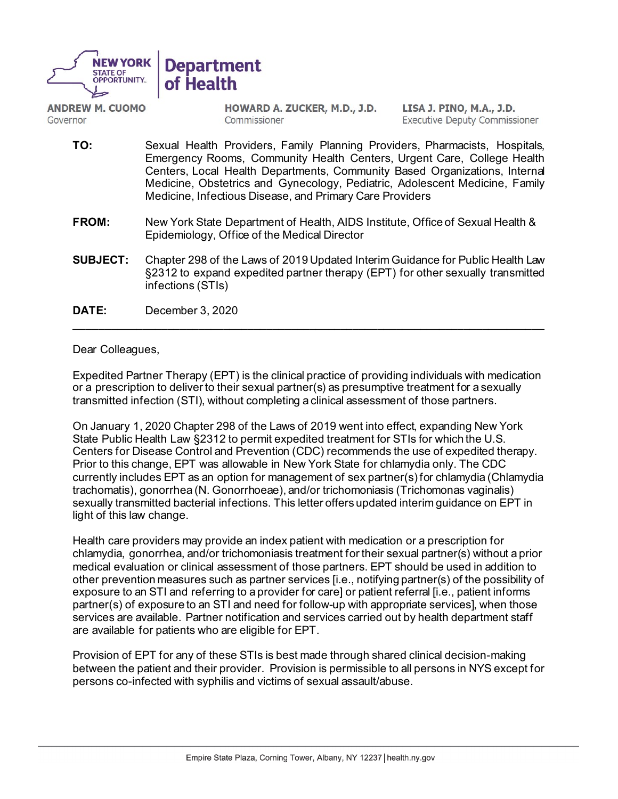

**ANDREW M. CUOMO** Governor

HOWARD A. ZUCKER, M.D., J.D. Commissioner

LISA J. PINO, M.A., J.D. Executive Deputy Commissioner

- **TO:** Sexual Health Providers, Family Planning Providers, Pharmacists, Hospitals, Emergency Rooms, Community Health Centers, Urgent Care, College Health Centers, Local Health Departments, Community Based Organizations, Internal Medicine, Obstetrics and Gynecology, Pediatric, Adolescent Medicine, Family Medicine, Infectious Disease, and Primary Care Providers
- **FROM:** New York State Department of Health, AIDS Institute, Office of Sexual Health & Epidemiology, Office of the Medical Director
- **SUBJECT:** Chapter 298 of the Laws of 2019 Updated Interim Guidance for Public Health Law §2312 to expand expedited partner therapy (EPT) for other sexually transmitted infections (STIs)

\_\_\_\_\_\_\_\_\_\_\_\_\_\_\_\_\_\_\_\_\_\_\_\_\_\_\_\_\_\_\_\_\_\_\_\_\_\_\_\_\_\_\_\_\_\_\_\_\_\_\_\_\_\_\_\_\_\_\_\_\_\_\_\_\_\_\_\_\_\_\_\_\_\_\_\_

**DATE:** December 3, 2020

# Dear Colleagues,

Expedited Partner Therapy (EPT) is the clinical practice of providing individuals with medication or a prescription to deliver to their sexual partner(s) as presumptive treatment for a sexually transmitted infection (STI), without completing a clinical assessment of those partners.

On January 1, 2020 Chapter 298 of the Laws of 2019 went into effect, expanding New York State Public Health Law §2312 to permit expedited treatment for STIs for which the U.S. Centers for Disease Control and Prevention (CDC) recommends the use of expedited therapy. Prior to this change, EPT was allowable in New York State for chlamydia only. The CDC currently includes EPT as an option for management of sex partner(s) for chlamydia (Chlamydia trachomatis), gonorrhea (N. Gonorrhoeae), and/or trichomoniasis (Trichomonas vaginalis) sexually transmitted bacterial infections. This letter offers updated interim guidance on EPT in light of this law change.

Health care providers may provide an index patient with medication or a prescription for chlamydia, gonorrhea, and/or trichomoniasis treatment for their sexual partner(s) without a prior medical evaluation or clinical assessment of those partners. EPT should be used in addition to other prevention measures such as partner services [i.e., notifying partner(s) of the possibility of exposure to an STI and referring to a provider for care] or patient referral [i.e., patient informs partner(s) of exposure to an STI and need for follow-up with appropriate services], when those services are available. Partner notification and services carried out by health department staff are available for patients who are eligible for EPT.

Provision of EPT for any of these STIs is best made through shared clinical decision-making between the patient and their provider. Provision is permissible to all persons in NYS except for persons co-infected with syphilis and victims of sexual assault/abuse.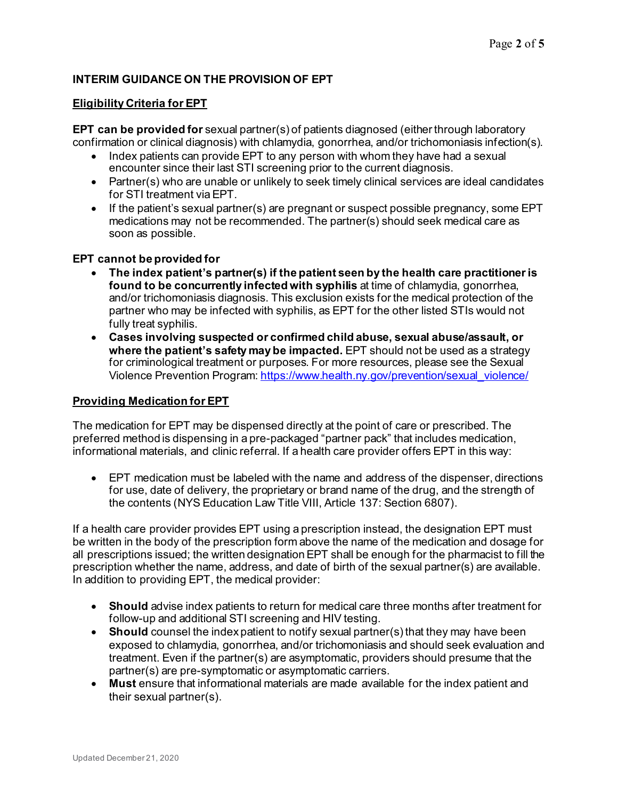# **INTERIM GUIDANCE ON THE PROVISION OF EPT**

## **Eligibility Criteria for EPT**

**EPT can be provided for** sexual partner(s) of patients diagnosed (either through laboratory confirmation or clinical diagnosis) with chlamydia, gonorrhea, and/or trichomoniasis infection(s).

- Index patients can provide EPT to any person with whom they have had a sexual encounter since their last STI screening prior to the current diagnosis.
- Partner(s) who are unable or unlikely to seek timely clinical services are ideal candidates for STI treatment via EPT.
- If the patient's sexual partner(s) are pregnant or suspect possible pregnancy, some EPT medications may not be recommended. The partner(s) should seek medical care as soon as possible.

#### **EPT cannot be provided for**

- **The index patient's partner(s) if the patient seen by the health care practitioner is found to be concurrently infected with syphilis** at time of chlamydia, gonorrhea, and/or trichomoniasis diagnosis. This exclusion exists for the medical protection of the partner who may be infected with syphilis, as EPT for the other listed STIs would not fully treat syphilis.
- **Cases involving suspected or confirmed child abuse, sexual abuse/assault, or where the patient's safety may be impacted.** EPT should not be used as a strategy for criminological treatment or purposes. For more resources, please see the Sexual Violence Prevention Program[: https://www.health.ny.gov/prevention/sexual\\_violence/](https://www.health.ny.gov/prevention/sexual_violence/)

#### **Providing Medication for EPT**

The medication for EPT may be dispensed directly at the point of care or prescribed. The preferred method is dispensing in a pre-packaged "partner pack" that includes medication, informational materials, and clinic referral. If a health care provider offers EPT in this way:

• EPT medication must be labeled with the name and address of the dispenser, directions for use, date of delivery, the proprietary or brand name of the drug, and the strength of the contents (NYS Education Law Title VIII, Article 137: Section 6807).

If a health care provider provides EPT using a prescription instead, the designation EPT must be written in the body of the prescription form above the name of the medication and dosage for all prescriptions issued; the written designation EPT shall be enough for the pharmacist to fill the prescription whether the name, address, and date of birth of the sexual partner(s) are available. In addition to providing EPT, the medical provider:

- **Should** advise index patients to return for medical care three months after treatment for follow-up and additional STI screening and HIV testing.
- **Should** counsel the index patient to notify sexual partner(s) that they may have been exposed to chlamydia, gonorrhea, and/or trichomoniasis and should seek evaluation and treatment. Even if the partner(s) are asymptomatic, providers should presume that the partner(s) are pre-symptomatic or asymptomatic carriers.
- **Must** ensure that informational materials are made available for the index patient and their sexual partner(s).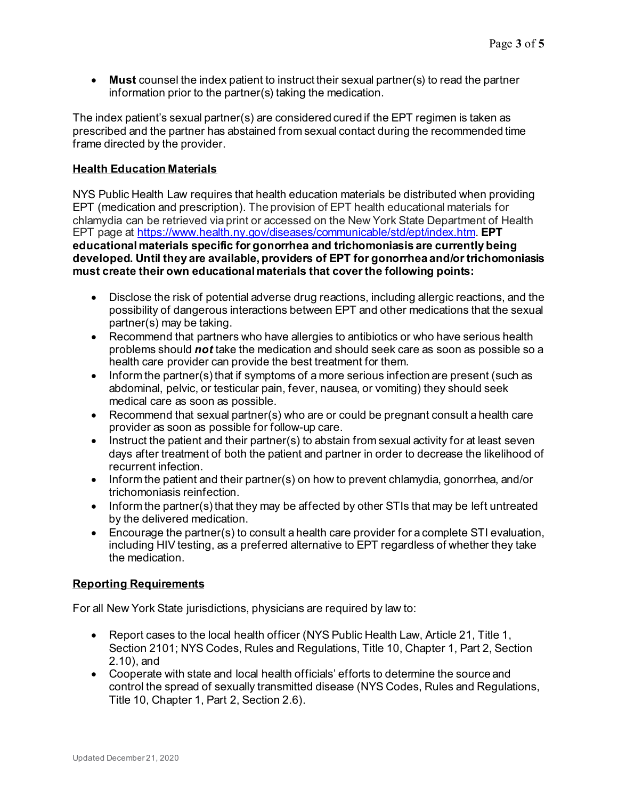• **Must** counsel the index patient to instruct their sexual partner(s) to read the partner information prior to the partner(s) taking the medication.

The index patient's sexual partner(s) are considered cured if the EPT regimen is taken as prescribed and the partner has abstained from sexual contact during the recommended time frame directed by the provider.

## **Health Education Materials**

NYS Public Health Law requires that health education materials be distributed when providing EPT (medication and prescription). The provision of EPT health educational materials for chlamydia can be retrieved via print or accessed on the New York State Department of Health EPT page at<https://www.health.ny.gov/diseases/communicable/std/ept/index.htm>. **EPT educational materials specific for gonorrhea and trichomoniasis are currently being developed. Until they are available, providers of EPT for gonorrhea and/or trichomoniasis must create their own educational materials that cover the following points:**

- Disclose the risk of potential adverse drug reactions, including allergic reactions, and the possibility of dangerous interactions between EPT and other medications that the sexual partner(s) may be taking.
- Recommend that partners who have allergies to antibiotics or who have serious health problems should *not* take the medication and should seek care as soon as possible so a health care provider can provide the best treatment for them.
- Inform the partner(s) that if symptoms of a more serious infection are present (such as abdominal, pelvic, or testicular pain, fever, nausea, or vomiting) they should seek medical care as soon as possible.
- Recommend that sexual partner(s) who are or could be pregnant consult a health care provider as soon as possible for follow-up care.
- Instruct the patient and their partner(s) to abstain from sexual activity for at least seven days after treatment of both the patient and partner in order to decrease the likelihood of recurrent infection.
- Inform the patient and their partner(s) on how to prevent chlamydia, gonorrhea, and/or trichomoniasis reinfection.
- Inform the partner(s) that they may be affected by other STIs that may be left untreated by the delivered medication.
- Encourage the partner(s) to consult a health care provider for a complete STI evaluation, including HIV testing, as a preferred alternative to EPT regardless of whether they take the medication.

#### **Reporting Requirements**

For all New York State jurisdictions, physicians are required by law to:

- Report cases to the local health officer (NYS Public Health Law, Article 21, Title 1, Section 2101; NYS Codes, Rules and Regulations, Title 10, Chapter 1, Part 2, Section 2.10), and
- Cooperate with state and local health officials' efforts to determine the source and control the spread of sexually transmitted disease (NYS Codes, Rules and Regulations, Title 10, Chapter 1, Part 2, Section 2.6).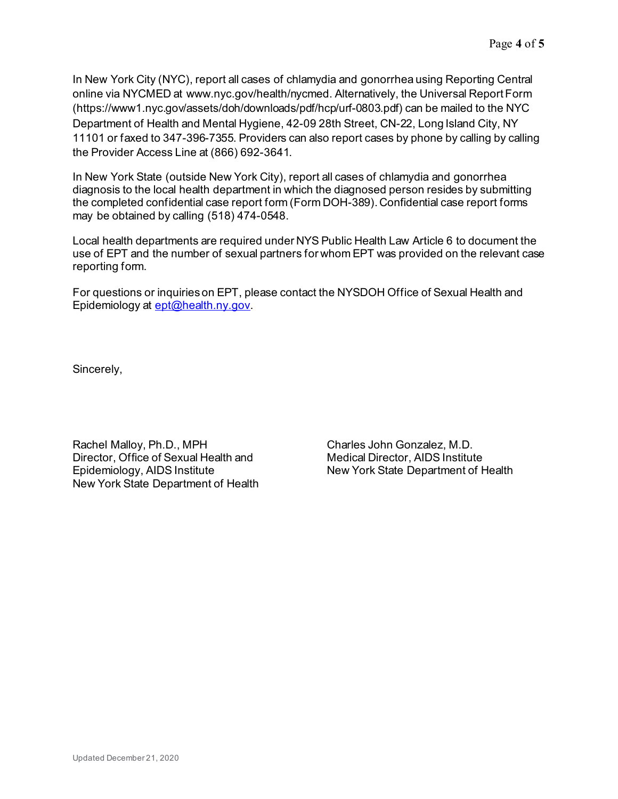In New York City (NYC), report all cases of chlamydia and gonorrhea using Reporting Central online via NYCMED at www.nyc.gov/health/nycmed. Alternatively, the Universal Report Form (https://www1.nyc.gov/assets/doh/downloads/pdf/hcp/urf-0803.pdf) can be mailed to the NYC Department of Health and Mental Hygiene, 42-09 28th Street, CN-22, Long Island City, NY 11101 or faxed to 347-396-7355. Providers can also report cases by phone by calling by calling the Provider Access Line at (866) 692-3641.

In New York State (outside New York City), report all cases of chlamydia and gonorrhea diagnosis to the local health department in which the diagnosed person resides by submitting the completed confidential case report form (Form DOH-389). Confidential case report forms may be obtained by calling (518) 474-0548.

Local health departments are required under NYS Public Health Law Article 6 to document the use of EPT and the number of sexual partners for whom EPT was provided on the relevant case reporting form.

For questions or inquiries on EPT, please contact the NYSDOH Office of Sexual Health and Epidemiology at [ept@health.ny.gov](mailto:ept@health.ny.gov).

Sincerely,

Rachel Malloy, Ph.D., MPH Director, Office of Sexual Health and Epidemiology, AIDS Institute New York State Department of Health

Charles John Gonzalez, M.D. Medical Director, AIDS Institute New York State Department of Health